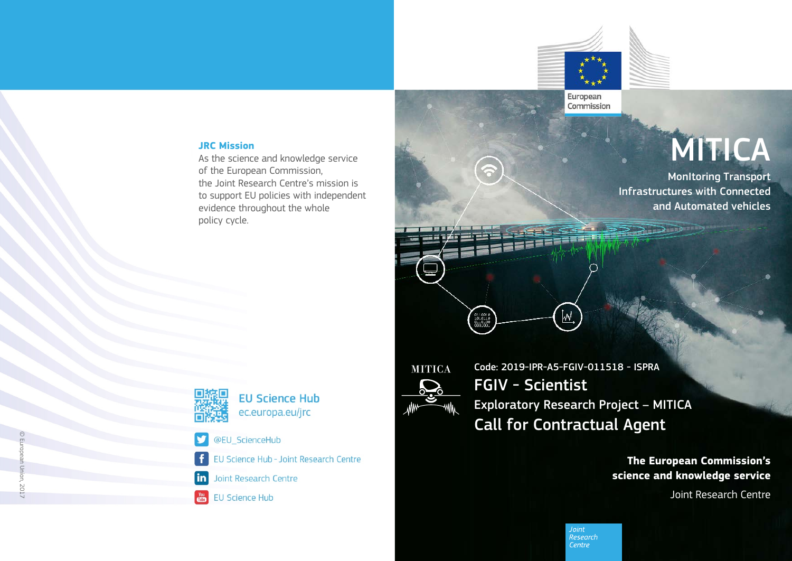

European Commission

#### **JRC Mission**

As the science and knowledge service of the European Commission, the Joint Research Centre's mission is to support EU policies with independent evidence throughout the whole policy cycle.



N

### **EU Science Hub** ec.europa.eu/jrc

- @EU ScienceHub
- EU Science Hub Joint Research Centre ÷
- Joint Research Centre  $\mathsf{in}$
- **EU Science Hub**  $\frac{\text{You}}{\text{ffilm}}$

**MITICA** 

 $\begin{array}{c} 0.1001 \\ 101011 \\ 011010 \\ \end{array}$ 

Code: 2019-IPR-A5-FGIV-011518 - ISPRA FGIV - Scientist Exploratory Research Project – MITICA Call for Contractual Agent

[wy

**The European Commission's science and knowledge service**

Joint Research Centre

**MonItoring Transport** 

**MITICA** 

and Automated vehicles

Infrastructures with Connected